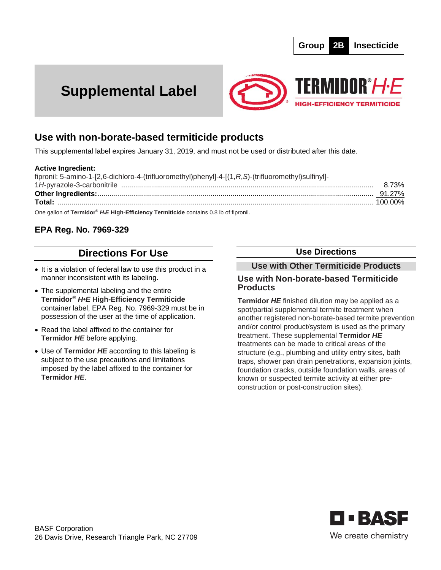# **Supplemental Label**



## **Use with non-borate-based termiticide products**

This supplemental label expires January 31, 2019, and must not be used or distributed after this date.

#### **Active Ingredient:**

| fipronil: 5-amino-1-[2,6-dichloro-4-(trifluoromethyl)phenyl]-4-[(1,R,S)-(trifluoromethyl)sulfinyl]-                                                                                                                                                                                  |       |
|--------------------------------------------------------------------------------------------------------------------------------------------------------------------------------------------------------------------------------------------------------------------------------------|-------|
|                                                                                                                                                                                                                                                                                      | 8.73% |
|                                                                                                                                                                                                                                                                                      |       |
|                                                                                                                                                                                                                                                                                      |       |
| $\sim$ 0 $\sim$ 10 $\sim$ 0.1 $\sim$ 10 $\sim$ 10 $\sim$ 10 $\sim$ 10 $\sim$ 10 $\sim$ 10 $\sim$ 10 $\sim$ 10 $\sim$ 10 $\sim$ 10 $\sim$ 10 $\sim$ 10 $\sim$ 10 $\sim$ 10 $\sim$ 10 $\sim$ 10 $\sim$ 10 $\sim$ 10 $\sim$ 10 $\sim$ 10 $\sim$ 10 $\sim$ 10 $\sim$ 10 $\sim$ 10 $\sim$ |       |

One gallon of **Termidor®** *H•E* **High-Efficiency Termiticide** contains 0.8 lb of fipronil.

## **EPA Reg. No. 7969-329**

## **Directions For Use**

- It is a violation of federal law to use this product in a manner inconsistent with its labeling.
- The supplemental labeling and the entire **Termidor®** *H•E* **High-Efficiency Termiticide** container label, EPA Reg. No. 7969-329 must be in possession of the user at the time of application.
- Read the label affixed to the container for **Termidor** *HE* before applying.
- Use of **Termidor** *HE* according to this labeling is subject to the use precautions and limitations imposed by the label affixed to the container for **Termidor** *HE*.

### **Use Directions**

## **Use with Other Termiticide Products**

#### **Use with Non-borate-based Termiticide Products**

**Termidor** *HE* finished dilution may be applied as a spot/partial supplemental termite treatment when another registered non-borate-based termite prevention and/or control product/system is used as the primary treatment. These supplemental **Termidor** *HE*  treatments can be made to critical areas of the structure (e.g., plumbing and utility entry sites, bath traps, shower pan drain penetrations, expansion joints, foundation cracks, outside foundation walls, areas of known or suspected termite activity at either preconstruction or post-construction sites).